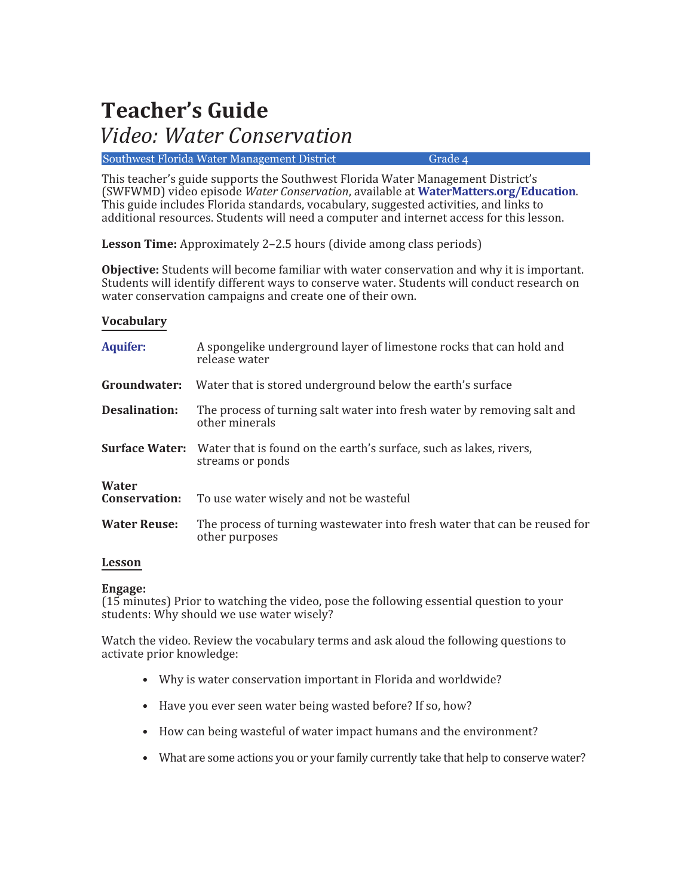# **Teacher's Guide**

# *Video: Water Conservation*

Southwest Florida Water Management District Grade 4

This teacher's guide supports the Southwest Florida Water Management District's (SWFWMD) video episode *Water Conservation*, available at **[WaterMatters.org/Education](https://www.swfwmd.state.fl.us/residents/education)**. This guide includes Florida standards, vocabulary, suggested activities, and links to additional resources. Students will need a computer and internet access for this lesson.

**Lesson Time:** Approximately 2–2.5 hours (divide among class periods)

**Objective:** Students will become familiar with water conservation and why it is important. Students will identify different ways to conserve water. Students will conduct research on water conservation campaigns and create one of their own.

# **Vocabulary**

| <b>Aquifer:</b>               | A spongelike underground layer of limestone rocks that can hold and<br>release water                         |
|-------------------------------|--------------------------------------------------------------------------------------------------------------|
| Groundwater:                  | Water that is stored underground below the earth's surface                                                   |
| <b>Desalination:</b>          | The process of turning salt water into fresh water by removing salt and<br>other minerals                    |
|                               | <b>Surface Water:</b> Water that is found on the earth's surface, such as lakes, rivers,<br>streams or ponds |
| Water<br><b>Conservation:</b> | To use water wisely and not be wasteful                                                                      |
| <b>Water Reuse:</b>           | The process of turning wastewater into fresh water that can be reused for<br>other purposes                  |
|                               |                                                                                                              |

# **Lesson**

# **Engage:**

(15 minutes) Prior to watching the video, pose the following essential question to your students: Why should we use water wisely?

Watch the video. Review the vocabulary terms and ask aloud the following questions to activate prior knowledge:

- Why is water conservation important in Florida and worldwide?
- Have you ever seen water being wasted before? If so, how?
- How can being wasteful of water impact humans and the environment?
- What are some actions you or your family currently take that help to conserve water?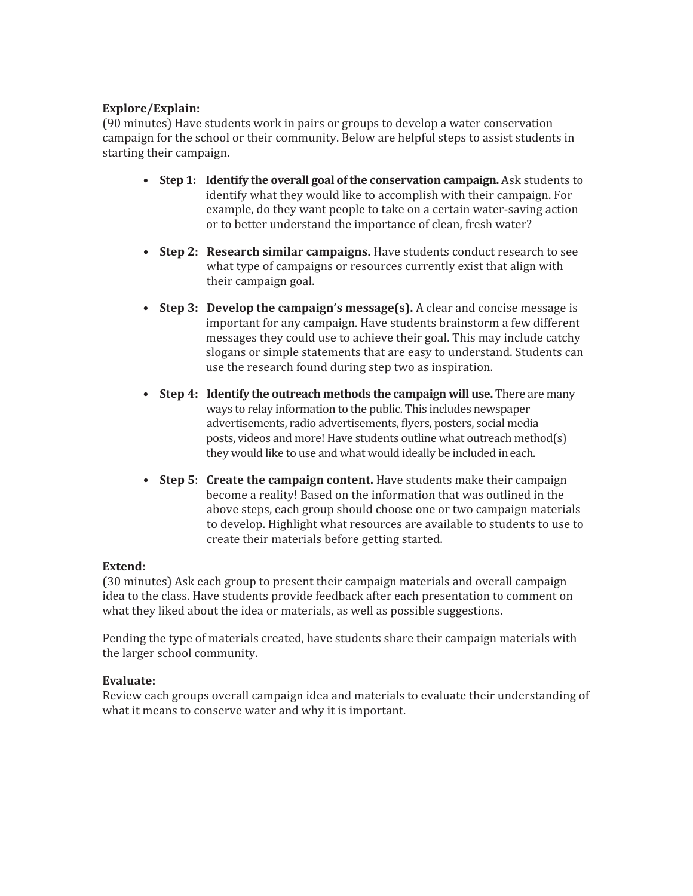# **Explore/Explain:**

(90 minutes) Have students work in pairs or groups to develop a water conservation campaign for the school or their community. Below are helpful steps to assist students in starting their campaign.

- **Step 1: Identify the overall goal of the conservation campaign.** Ask students to identify what they would like to accomplish with their campaign. For example, do they want people to take on a certain water-saving action or to better understand the importance of clean, fresh water?
- **Step 2: Research similar campaigns.** Have students conduct research to see what type of campaigns or resources currently exist that align with their campaign goal.
- **Step 3: Develop the campaign's message(s).** A clear and concise message is important for any campaign. Have students brainstorm a few different messages they could use to achieve their goal. This may include catchy slogans or simple statements that are easy to understand. Students can use the research found during step two as inspiration.
- **Step 4: Identify the outreach methods the campaign will use.** There are many ways to relay information to the public. This includes newspaper advertisements, radio advertisements, flyers, posters, social media posts, videos and more! Have students outline what outreach method(s) they would like to use and what would ideally be included ineach.
- **Step 5**: **Create the campaign content.** Have students make their campaign become a reality! Based on the information that was outlined in the above steps, each group should choose one or two campaign materials to develop. Highlight what resources are available to students to use to create their materials before getting started.

# **Extend:**

(30 minutes) Ask each group to present their campaign materials and overall campaign idea to the class. Have students provide feedback after each presentation to comment on what they liked about the idea or materials, as well as possible suggestions.

Pending the type of materials created, have students share their campaign materials with the larger school community.

# **Evaluate:**

Review each groups overall campaign idea and materials to evaluate their understanding of what it means to conserve water and why it is important.